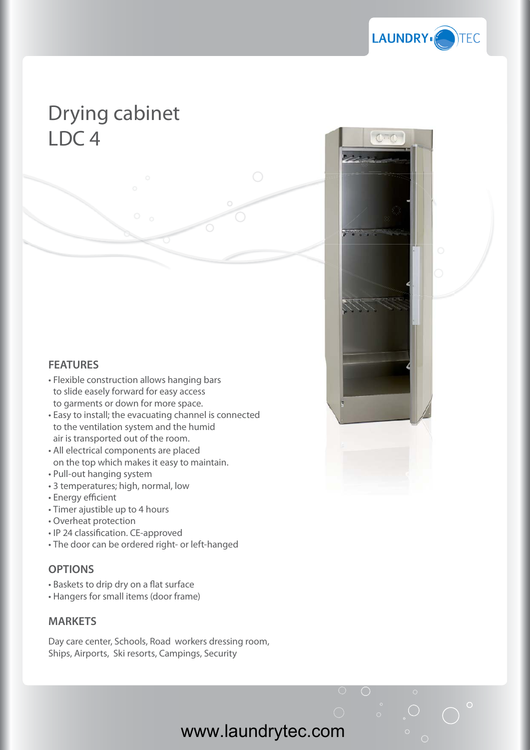

## Drying cabinet LDC 4

## **FEATURES**

- Flexible construction allows hanging bars to slide easely forward for easy access to garments or down for more space.
- Easy to install; the evacuating channel is connected to the ventilation system and the humid air is transported out of the room.
- All electrical components are placed on the top which makes it easy to maintain.
- Pull-out hanging system
- 3 temperatures; high, normal, low
- Energy efficient
- Timer ajustible up to 4 hours
- Overheat protection
- IP 24 classification. CE-approved
- The door can be ordered right- or left-hanged

## **OPTIONS**

- Baskets to drip dry on a flat surface
- Hangers for small items (door frame)

## **MARKETS**

Day care center, Schools, Road workers dressing room, Ships, Airports, Ski resorts, Campings, Security

www.laundrytec.com